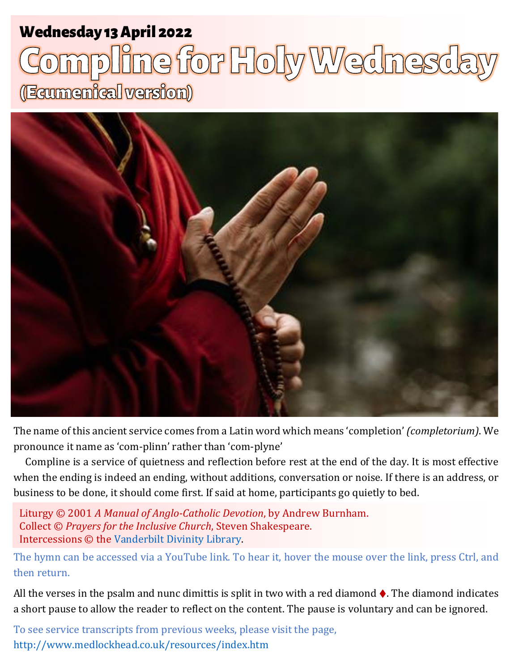# Wednesday 13 April 2022 1 **Holy Wednesday** Wednesday 13 April 2022

# (Ecumenical version)



The name of this ancient service comes from a Latin word which means 'completion' *(completorium)*. We pronounce it name as 'com-plinn' rather than 'com-plyne'

Compline is a service of quietness and reflection before rest at the end of the day. It is most effective when the ending is indeed an ending, without additions, conversation or noise. If there is an address, or business to be done, it should come first. If said at home, participants go quietly to bed.

Liturgy © 2001 *A Manual of Anglo-Catholic Devotion*, by Andrew Burnham. Collect © *Prayers for the Inclusive Church*, Steven Shakespeare. Intercessions © the [Vanderbilt Divinity Library.](http://divinity.library.vanderbilt.edu/)

The hymn can be accessed via a YouTube link. To hear it, hover the mouse over the link, press Ctrl, and then return.

All the verses in the psalm and nunc dimittis is split in two with a red diamond  $\triangle$ . The diamond indicates a short pause to allow the reader to reflect on the content. The pause is voluntary and can be ignored.

To see service transcripts from previous weeks, please visit the page, <http://www.medlockhead.co.uk/resources/index.htm>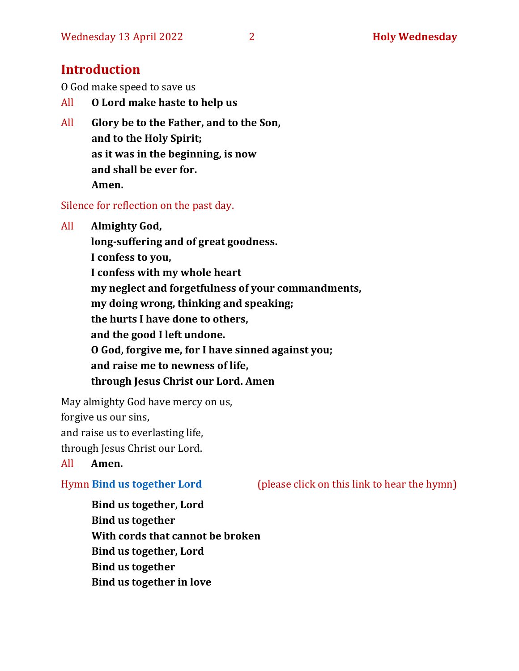# **Introduction**

O God make speed to save us

- All **O Lord make haste to help us**
- All **Glory be to the Father, and to the Son, and to the Holy Spirit; as it was in the beginning, is now and shall be ever for. Amen.**

Silence for reflection on the past day.

All **Almighty God,**

**long-suffering and of great goodness. I confess to you, I confess with my whole heart my neglect and forgetfulness of your commandments, my doing wrong, thinking and speaking; the hurts I have done to others, and the good I left undone. O God, forgive me, for I have sinned against you;**

**and raise me to newness of life,** 

**through Jesus Christ our Lord. Amen**

May almighty God have mercy on us,

forgive us our sins,

and raise us to everlasting life,

through Jesus Christ our Lord.

All **Amen.**

Hymn **[Bind us together Lord](https://www.youtube.com/watch?v=wRwfTS_Ne0o)** (please click on this link to hear the hymn)

**Bind us together, Lord Bind us together With cords that cannot be broken Bind us together, Lord Bind us together Bind us together in love**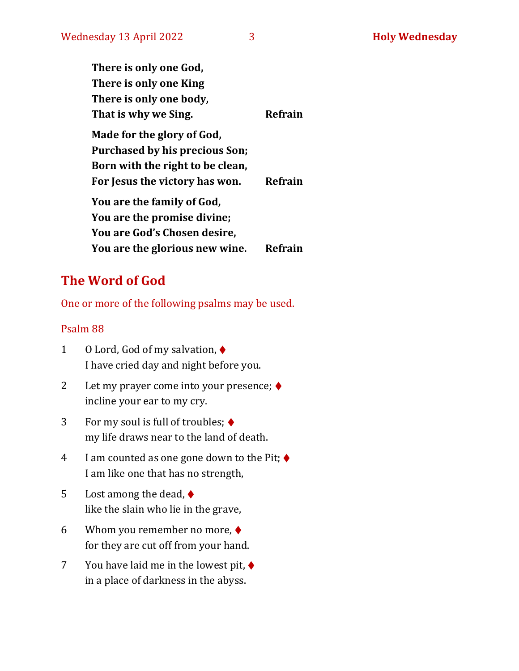| There is only one God,           |         |
|----------------------------------|---------|
| There is only one King           |         |
| There is only one body,          |         |
| That is why we Sing.             | Refrain |
| Made for the glory of God,       |         |
| Purchased by his precious Son;   |         |
| Born with the right to be clean, |         |
| For Jesus the victory has won.   | Refrain |
| You are the family of God,       |         |
| You are the promise divine;      |         |
| You are God's Chosen desire,     |         |
| You are the glorious new wine.   | Refrain |

# **The Word of God**

One or more of the following psalms may be used.

### Psalm 88

- 1 O Lord, God of my salvation, ♦ I have cried day and night before you.
- 2 Let my prayer come into your presence; ♦ incline your ear to my cry.
- 3 For my soul is full of troubles; ♦ my life draws near to the land of death.
- 4 I am counted as one gone down to the Pit;  $\blacklozenge$ I am like one that has no strength,
- 5 Lost among the dead,  $\blacklozenge$ like the slain who lie in the grave,
- 6 Whom you remember no more,  $\blacklozenge$ for they are cut off from your hand.
- 7 You have laid me in the lowest pit, ♦ in a place of darkness in the abyss.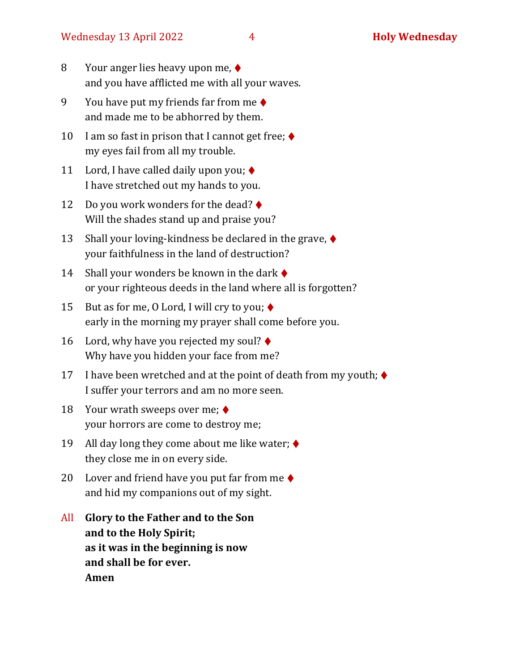- 8 Your anger lies heavy upon me, ♦ and you have afflicted me with all your waves.
- 9 You have put my friends far from me  $\triangle$ and made me to be abhorred by them.
- 10 I am so fast in prison that I cannot get free;  $\triangleleft$ my eyes fail from all my trouble.
- 11 Lord, I have called daily upon you;  $\blacklozenge$ I have stretched out my hands to you.
- 12 Do you work wonders for the dead? ♦ Will the shades stand up and praise you?
- 13 Shall your loving-kindness be declared in the grave,  $\blacklozenge$ your faithfulness in the land of destruction?
- 14 Shall your wonders be known in the dark  $\blacklozenge$ or your righteous deeds in the land where all is forgotten?
- 15 But as for me, 0 Lord, I will cry to you;  $\blacklozenge$ early in the morning my prayer shall come before you.
- 16 Lord, why have you rejected my soul?  $\blacklozenge$ Why have you hidden your face from me?
- 17 I have been wretched and at the point of death from my youth;  $\blacklozenge$ I suffer your terrors and am no more seen.
- 18 Your wrath sweeps over me;  $\blacklozenge$ your horrors are come to destroy me;
- 19 All day long they come about me like water;  $\triangleleft$ they close me in on every side.
- 20 Lover and friend have you put far from me  $\triangle$ and hid my companions out of my sight.
- All **Glory to the Father and to the Son and to the Holy Spirit; as it was in the beginning is now and shall be for ever. Amen**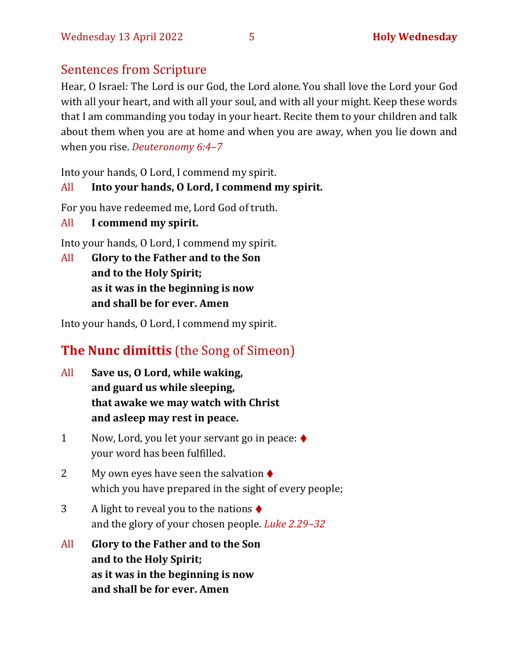# Sentences from Scripture

Hear, O Israel: The Lord is our God, the Lord alone. You shall love the Lord your God with all your heart, and with all your soul, and with all your might. Keep these words that I am commanding you today in your heart. Recite them to your children and talk about them when you are at home and when you are away, when you lie down and when you rise. *Deuteronomy 6:4–7*

Into your hands, O Lord, I commend my spirit.

## All **Into your hands, O Lord, I commend my spirit.**

For you have redeemed me, Lord God of truth.

All **I commend my spirit.**

Into your hands, O Lord, I commend my spirit.

All **Glory to the Father and to the Son and to the Holy Spirit; as it was in the beginning is now and shall be for ever. Amen**

Into your hands, O Lord, I commend my spirit.

# **The Nunc dimittis** (the Song of Simeon)

- All **Save us, O Lord, while waking, and guard us while sleeping, that awake we may watch with Christ and asleep may rest in peace.**
- 1 Now, Lord, you let your servant go in peace: ♦ your word has been fulfilled.
- 2 My own eyes have seen the salvation  $\triangle$ which you have prepared in the sight of every people;
- 3 A light to reveal you to the nations  $\triangle$ and the glory of your chosen people. *Luke 2.29–32*
- All **Glory to the Father and to the Son and to the Holy Spirit; as it was in the beginning is now and shall be for ever. Amen**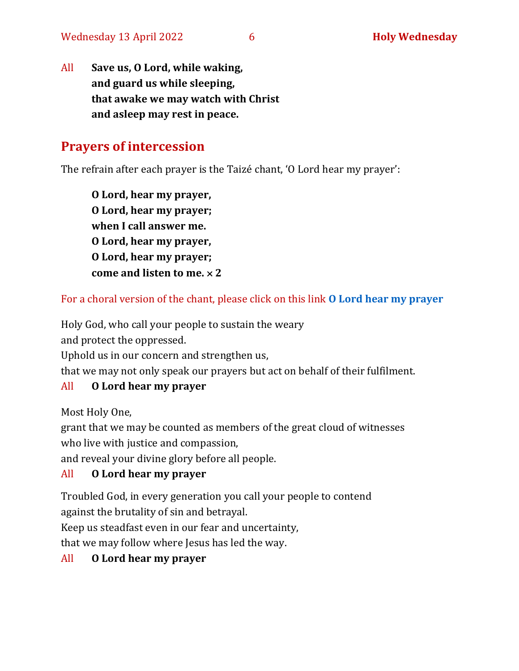All **Save us, O Lord, while waking, and guard us while sleeping, that awake we may watch with Christ and asleep may rest in peace.**

# **Prayers of intercession**

The refrain after each prayer is the Taizé chant, 'O Lord hear my prayer':

**O Lord, hear my prayer, O Lord, hear my prayer; when I call answer me. O Lord, hear my prayer, O Lord, hear my prayer; come and listen to me. 2**

For a choral version of the chant, please click on this link **[O Lord hear my prayer](https://www.youtube.com/watch?v=f51n-yb11dY)**

Holy God, who call your people to sustain the weary

and protect the oppressed.

Uphold us in our concern and strengthen us,

that we may not only speak our prayers but act on behalf of their fulfilment.

## All **[O Lord hear my prayer](https://www.youtube.com/watch?v=f51n-yb11dY)**

Most Holy One,

grant that we may be counted as members of the great cloud of witnesses who live with justice and compassion,

and reveal your divine glory before all people.

## All **[O Lord hear my prayer](https://www.youtube.com/watch?v=f51n-yb11dY)**

Troubled God, in every generation you call your people to contend against the brutality of sin and betrayal.

Keep us steadfast even in our fear and uncertainty,

that we may follow where Jesus has led the way.

## All **[O Lord hear my prayer](https://www.youtube.com/watch?v=f51n-yb11dY)**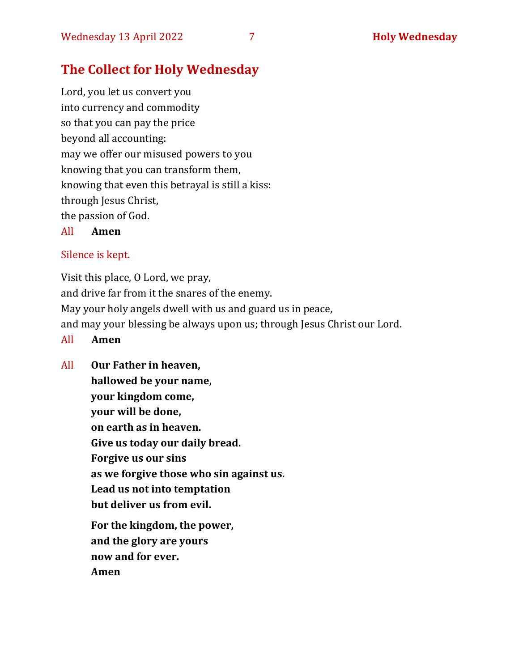# **The Collect for Holy Wednesday**

Lord, you let us convert you into currency and commodity so that you can pay the price beyond all accounting: may we offer our misused powers to you knowing that you can transform them, knowing that even this betrayal is still a kiss: through Jesus Christ, the passion of God.

All **Amen**

### Silence is kept.

Visit this place, O Lord, we pray, and drive far from it the snares of the enemy. May your holy angels dwell with us and guard us in peace, and may your blessing be always upon us; through Jesus Christ our Lord.

- All **Amen**
- All **Our Father in heaven, hallowed be your name, your kingdom come, your will be done, on earth as in heaven. Give us today our daily bread. Forgive us our sins as we forgive those who sin against us. Lead us not into temptation but deliver us from evil. For the kingdom, the power, and the glory are yours now and for ever. Amen**